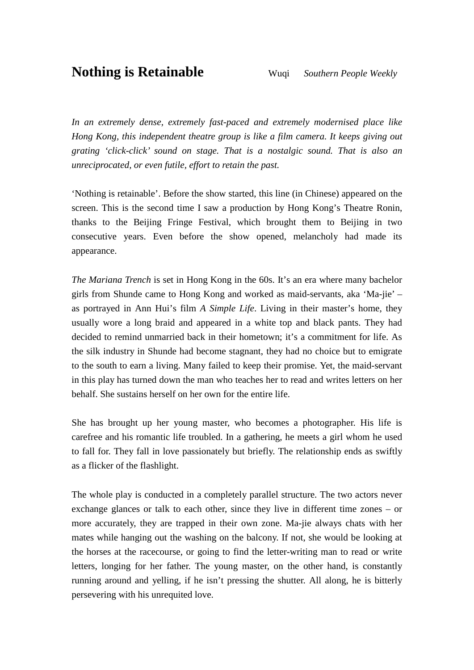*In an extremely dense, extremely fast-paced and extremely modernised place like Hong Kong, this independent theatre group is like a film camera. It keeps giving out grating 'click-click' sound on stage. That is a nostalgic sound. That is also an unreciprocated, or even futile, effort to retain the past.*

'Nothing is retainable'. Before the show started, this line (in Chinese) appeared on the screen. This is the second time I saw a production by Hong Kong's Theatre Ronin, thanks to the Beijing Fringe Festival, which brought them to Beijing in two consecutive years. Even before the show opened, melancholy had made its appearance.

*The Mariana Trench* is set in Hong Kong in the 60s. It's an era where many bachelor girls from Shunde came to Hong Kong and worked as maid-servants, aka 'Ma-jie' – as portrayed in Ann Hui's film *A Simple Life*. Living in their master's home, they usually wore a long braid and appeared in a white top and black pants. They had decided to remind unmarried back in their hometown; it's a commitment for life. As the silk industry in Shunde had become stagnant, they had no choice but to emigrate to the south to earn a living. Many failed to keep their promise. Yet, the maid-servant in this play has turned down the man who teaches her to read and writes letters on her behalf. She sustains herself on her own for the entire life.

She has brought up her young master, who becomes a photographer. His life is carefree and his romantic life troubled. In a gathering, he meets a girl whom he used to fall for. They fall in love passionately but briefly. The relationship ends as swiftly as a flicker of the flashlight.

The whole play is conducted in a completely parallel structure. The two actors never exchange glances or talk to each other, since they live in different time zones – or more accurately, they are trapped in their own zone. Ma-jie always chats with her mates while hanging out the washing on the balcony. If not, she would be looking at the horses at the racecourse, or going to find the letter-writing man to read or write letters, longing for her father. The young master, on the other hand, is constantly running around and yelling, if he isn't pressing the shutter. All along, he is bitterly persevering with his unrequited love.